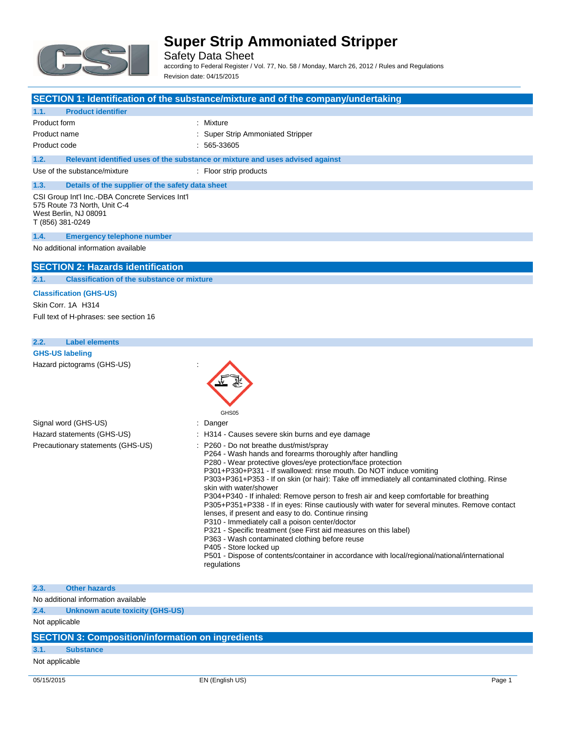

Safety Data Sheet according to Federal Register / Vol. 77, No. 58 / Monday, March 26, 2012 / Rules and Regulations Revision date: 04/15/2015

|                                                                                                                               | SECTION 1: Identification of the substance/mixture and of the company/undertaking                                                                                                                                                                                                                                                                                                                                                                                                                                                                                                                                                                                                                                                                                                                                                                                                                                                   |
|-------------------------------------------------------------------------------------------------------------------------------|-------------------------------------------------------------------------------------------------------------------------------------------------------------------------------------------------------------------------------------------------------------------------------------------------------------------------------------------------------------------------------------------------------------------------------------------------------------------------------------------------------------------------------------------------------------------------------------------------------------------------------------------------------------------------------------------------------------------------------------------------------------------------------------------------------------------------------------------------------------------------------------------------------------------------------------|
| 1.1.<br><b>Product identifier</b>                                                                                             |                                                                                                                                                                                                                                                                                                                                                                                                                                                                                                                                                                                                                                                                                                                                                                                                                                                                                                                                     |
| Product form                                                                                                                  | : Mixture                                                                                                                                                                                                                                                                                                                                                                                                                                                                                                                                                                                                                                                                                                                                                                                                                                                                                                                           |
| Product name                                                                                                                  | Super Strip Ammoniated Stripper                                                                                                                                                                                                                                                                                                                                                                                                                                                                                                                                                                                                                                                                                                                                                                                                                                                                                                     |
| Product code                                                                                                                  | 565-33605                                                                                                                                                                                                                                                                                                                                                                                                                                                                                                                                                                                                                                                                                                                                                                                                                                                                                                                           |
| 1.2.                                                                                                                          | Relevant identified uses of the substance or mixture and uses advised against                                                                                                                                                                                                                                                                                                                                                                                                                                                                                                                                                                                                                                                                                                                                                                                                                                                       |
| Use of the substance/mixture                                                                                                  | : Floor strip products                                                                                                                                                                                                                                                                                                                                                                                                                                                                                                                                                                                                                                                                                                                                                                                                                                                                                                              |
| 1.3.<br>Details of the supplier of the safety data sheet                                                                      |                                                                                                                                                                                                                                                                                                                                                                                                                                                                                                                                                                                                                                                                                                                                                                                                                                                                                                                                     |
| CSI Group Int'l Inc.-DBA Concrete Services Int'l<br>575 Route 73 North, Unit C-4<br>West Berlin, NJ 08091<br>T (856) 381-0249 |                                                                                                                                                                                                                                                                                                                                                                                                                                                                                                                                                                                                                                                                                                                                                                                                                                                                                                                                     |
| 1.4.<br><b>Emergency telephone number</b>                                                                                     |                                                                                                                                                                                                                                                                                                                                                                                                                                                                                                                                                                                                                                                                                                                                                                                                                                                                                                                                     |
| No additional information available                                                                                           |                                                                                                                                                                                                                                                                                                                                                                                                                                                                                                                                                                                                                                                                                                                                                                                                                                                                                                                                     |
| <b>SECTION 2: Hazards identification</b>                                                                                      |                                                                                                                                                                                                                                                                                                                                                                                                                                                                                                                                                                                                                                                                                                                                                                                                                                                                                                                                     |
| <b>Classification of the substance or mixture</b><br>2.1.                                                                     |                                                                                                                                                                                                                                                                                                                                                                                                                                                                                                                                                                                                                                                                                                                                                                                                                                                                                                                                     |
| <b>Classification (GHS-US)</b>                                                                                                |                                                                                                                                                                                                                                                                                                                                                                                                                                                                                                                                                                                                                                                                                                                                                                                                                                                                                                                                     |
| Skin Corr. 1A H314                                                                                                            |                                                                                                                                                                                                                                                                                                                                                                                                                                                                                                                                                                                                                                                                                                                                                                                                                                                                                                                                     |
| Full text of H-phrases: see section 16                                                                                        |                                                                                                                                                                                                                                                                                                                                                                                                                                                                                                                                                                                                                                                                                                                                                                                                                                                                                                                                     |
|                                                                                                                               |                                                                                                                                                                                                                                                                                                                                                                                                                                                                                                                                                                                                                                                                                                                                                                                                                                                                                                                                     |
| 2.2.<br><b>Label elements</b>                                                                                                 |                                                                                                                                                                                                                                                                                                                                                                                                                                                                                                                                                                                                                                                                                                                                                                                                                                                                                                                                     |
| <b>GHS-US labeling</b>                                                                                                        |                                                                                                                                                                                                                                                                                                                                                                                                                                                                                                                                                                                                                                                                                                                                                                                                                                                                                                                                     |
| Hazard pictograms (GHS-US)                                                                                                    |                                                                                                                                                                                                                                                                                                                                                                                                                                                                                                                                                                                                                                                                                                                                                                                                                                                                                                                                     |
|                                                                                                                               | GHS05                                                                                                                                                                                                                                                                                                                                                                                                                                                                                                                                                                                                                                                                                                                                                                                                                                                                                                                               |
| Signal word (GHS-US)<br>Hazard statements (GHS-US)                                                                            | Danger<br>: H314 - Causes severe skin burns and eye damage                                                                                                                                                                                                                                                                                                                                                                                                                                                                                                                                                                                                                                                                                                                                                                                                                                                                          |
| Precautionary statements (GHS-US)                                                                                             | P260 - Do not breathe dust/mist/spray<br>P264 - Wash hands and forearms thoroughly after handling<br>P280 - Wear protective gloves/eye protection/face protection<br>P301+P330+P331 - If swallowed: rinse mouth. Do NOT induce vomiting<br>P303+P361+P353 - If on skin (or hair): Take off immediately all contaminated clothing. Rinse<br>skin with water/shower<br>P304+P340 - If inhaled: Remove person to fresh air and keep comfortable for breathing<br>P305+P351+P338 - If in eyes: Rinse cautiously with water for several minutes. Remove contact<br>lenses, if present and easy to do. Continue rinsing<br>P310 - Immediately call a poison center/doctor<br>P321 - Specific treatment (see First aid measures on this label)<br>P363 - Wash contaminated clothing before reuse<br>P405 - Store locked up<br>P501 - Dispose of contents/container in accordance with local/regional/national/international<br>regulations |
| 2.3.<br><b>Other hazards</b>                                                                                                  |                                                                                                                                                                                                                                                                                                                                                                                                                                                                                                                                                                                                                                                                                                                                                                                                                                                                                                                                     |

No additional information available

**2.4. Unknown acute toxicity (GHS-US)**

Not applicable

### **SECTION 3: Composition/information on ingredients**

#### **3.1. Substance**

Not applicable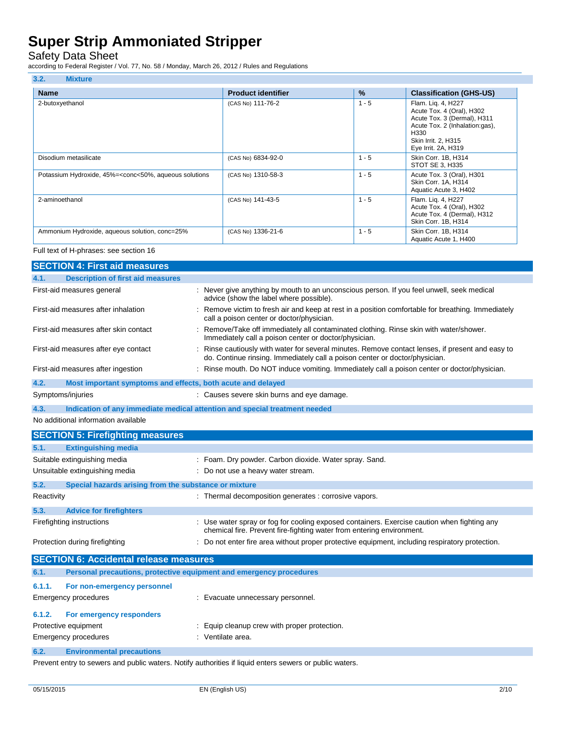Safety Data Sheet

according to Federal Register / Vol. 77, No. 58 / Monday, March 26, 2012 / Rules and Regulations

| 3.2.<br><b>Mixture</b>                                                                                                                                                                                                     |                           |               |                                                                                                                                                                        |
|----------------------------------------------------------------------------------------------------------------------------------------------------------------------------------------------------------------------------|---------------------------|---------------|------------------------------------------------------------------------------------------------------------------------------------------------------------------------|
| <b>Name</b>                                                                                                                                                                                                                | <b>Product identifier</b> | $\frac{9}{6}$ | <b>Classification (GHS-US)</b>                                                                                                                                         |
| 2-butoxyethanol                                                                                                                                                                                                            | (CAS No) 111-76-2         | $1 - 5$       | Flam. Liq. 4, H227<br>Acute Tox. 4 (Oral), H302<br>Acute Tox. 3 (Dermal), H311<br>Acute Tox. 2 (Inhalation:gas),<br>H330<br>Skin Irrit. 2, H315<br>Eye Irrit. 2A, H319 |
| Disodium metasilicate                                                                                                                                                                                                      | (CAS No) 6834-92-0        | $1 - 5$       | Skin Corr. 1B, H314<br>STOT SE 3, H335                                                                                                                                 |
| Potassium Hydroxide, 45%= <conc<50%, aqueous="" solutions<="" td=""><td>(CAS No) 1310-58-3</td><td><math>1 - 5</math></td><td>Acute Tox. 3 (Oral), H301<br/>Skin Corr. 1A, H314<br/>Aquatic Acute 3, H402</td></conc<50%,> | (CAS No) 1310-58-3        | $1 - 5$       | Acute Tox. 3 (Oral), H301<br>Skin Corr. 1A, H314<br>Aquatic Acute 3, H402                                                                                              |
| 2-aminoethanol                                                                                                                                                                                                             | (CAS No) 141-43-5         | $1 - 5$       | Flam. Lig. 4, H227<br>Acute Tox. 4 (Oral), H302<br>Acute Tox. 4 (Dermal), H312<br>Skin Corr. 1B, H314                                                                  |
| Ammonium Hydroxide, aqueous solution, conc=25%                                                                                                                                                                             | (CAS No) 1336-21-6        | $1 - 5$       | Skin Corr. 1B, H314<br>Aquatic Acute 1, H400                                                                                                                           |

#### Full text of H-phrases: see section 16

|                                       | <b>SECTION 4: First aid measures</b>                                |                                                                                                                                                                                 |
|---------------------------------------|---------------------------------------------------------------------|---------------------------------------------------------------------------------------------------------------------------------------------------------------------------------|
| 4.1.                                  | <b>Description of first aid measures</b>                            |                                                                                                                                                                                 |
|                                       | First-aid measures general                                          | : Never give anything by mouth to an unconscious person. If you feel unwell, seek medical<br>advice (show the label where possible).                                            |
|                                       | First-aid measures after inhalation                                 | : Remove victim to fresh air and keep at rest in a position comfortable for breathing. Immediately<br>call a poison center or doctor/physician.                                 |
| First-aid measures after skin contact |                                                                     | : Remove/Take off immediately all contaminated clothing. Rinse skin with water/shower.<br>Immediately call a poison center or doctor/physician.                                 |
|                                       | First-aid measures after eye contact                                | : Rinse cautiously with water for several minutes. Remove contact lenses, if present and easy to<br>do. Continue rinsing. Immediately call a poison center or doctor/physician. |
|                                       | First-aid measures after ingestion                                  | : Rinse mouth. Do NOT induce vomiting. Immediately call a poison center or doctor/physician.                                                                                    |
| 4.2.                                  | Most important symptoms and effects, both acute and delayed         |                                                                                                                                                                                 |
|                                       | Symptoms/injuries                                                   | : Causes severe skin burns and eye damage.                                                                                                                                      |
| 4.3.                                  |                                                                     | Indication of any immediate medical attention and special treatment needed                                                                                                      |
|                                       | No additional information available                                 |                                                                                                                                                                                 |
|                                       | <b>SECTION 5: Firefighting measures</b>                             |                                                                                                                                                                                 |
| 5.1.                                  | <b>Extinguishing media</b>                                          |                                                                                                                                                                                 |
|                                       | Suitable extinguishing media                                        | : Foam. Dry powder. Carbon dioxide. Water spray. Sand.                                                                                                                          |
|                                       | Unsuitable extinguishing media                                      | : Do not use a heavy water stream.                                                                                                                                              |
| 5.2.                                  | Special hazards arising from the substance or mixture               |                                                                                                                                                                                 |
| Reactivity                            |                                                                     | : Thermal decomposition generates : corrosive vapors.                                                                                                                           |
| 5.3.                                  | <b>Advice for firefighters</b>                                      |                                                                                                                                                                                 |
|                                       | Firefighting instructions                                           | : Use water spray or fog for cooling exposed containers. Exercise caution when fighting any<br>chemical fire. Prevent fire-fighting water from entering environment.            |
|                                       | Protection during firefighting                                      | : Do not enter fire area without proper protective equipment, including respiratory protection.                                                                                 |
|                                       | <b>SECTION 6: Accidental release measures</b>                       |                                                                                                                                                                                 |
| 6.1.                                  | Personal precautions, protective equipment and emergency procedures |                                                                                                                                                                                 |
| 6.1.1.                                | For non-emergency personnel                                         |                                                                                                                                                                                 |
|                                       | <b>Emergency procedures</b>                                         | : Evacuate unnecessary personnel.                                                                                                                                               |
| 6.1.2.                                | For emergency responders                                            |                                                                                                                                                                                 |
|                                       | Protective equipment                                                | : Equip cleanup crew with proper protection.                                                                                                                                    |
|                                       | <b>Emergency procedures</b>                                         | : Ventilate area.                                                                                                                                                               |

#### **6.2. Environmental precautions**

Prevent entry to sewers and public waters. Notify authorities if liquid enters sewers or public waters.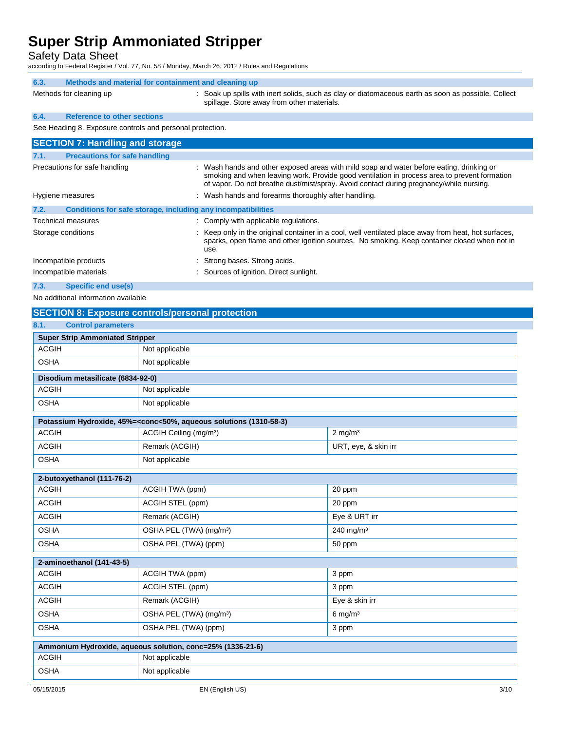Safety Data Sheet

according to Federal Register / Vol. 77, No. 58 / Monday, March 26, 2012 / Rules and Regulations

| 6.3. | Methods and material for containment and cleaning up      |                                                                                                                                                   |
|------|-----------------------------------------------------------|---------------------------------------------------------------------------------------------------------------------------------------------------|
|      | Methods for cleaning up                                   | : Soak up spills with inert solids, such as clay or diatomaceous earth as soon as possible. Collect<br>spillage. Store away from other materials. |
| 6.4. | <b>Reference to other sections</b>                        |                                                                                                                                                   |
|      | See Heading 8. Exposure controls and personal protection. |                                                                                                                                                   |
|      | <b>SECTION 7: Handling and storage</b>                    |                                                                                                                                                   |
| 7.1. | <b>Precautions for safe handling</b>                      |                                                                                                                                                   |

| Precautions for safe handling                                        | : Wash hands and other exposed areas with mild soap and water before eating, drinking or<br>smoking and when leaving work. Provide good ventilation in process area to prevent formation<br>of vapor. Do not breathe dust/mist/spray. Avoid contact during pregnancy/while nursing. |
|----------------------------------------------------------------------|-------------------------------------------------------------------------------------------------------------------------------------------------------------------------------------------------------------------------------------------------------------------------------------|
| Hygiene measures                                                     | : Wash hands and forearms thoroughly after handling.                                                                                                                                                                                                                                |
| 7.2.<br>Conditions for safe storage, including any incompatibilities |                                                                                                                                                                                                                                                                                     |
| Technical measures                                                   | : Comply with applicable regulations.                                                                                                                                                                                                                                               |
| Storage conditions                                                   | : Keep only in the original container in a cool, well ventilated place away from heat, hot surfaces,<br>sparks, open flame and other ignition sources. No smoking. Keep container closed when not in<br>use.                                                                        |
| Incompatible products                                                | : Strong bases. Strong acids.                                                                                                                                                                                                                                                       |
| Incompatible materials                                               | : Sources of ignition. Direct sunlight.                                                                                                                                                                                                                                             |
| 7.3.<br>Specific end use(s)                                          |                                                                                                                                                                                                                                                                                     |

No additional information available

### **SECTION 8: Exposure controls/personal protection**

| 8.1.<br><b>Control parameters</b>                          |                                                                                                          |                       |  |
|------------------------------------------------------------|----------------------------------------------------------------------------------------------------------|-----------------------|--|
| <b>Super Strip Ammoniated Stripper</b>                     |                                                                                                          |                       |  |
| <b>ACGIH</b>                                               | Not applicable                                                                                           |                       |  |
| <b>OSHA</b>                                                | Not applicable                                                                                           |                       |  |
| Disodium metasilicate (6834-92-0)                          |                                                                                                          |                       |  |
| <b>ACGIH</b>                                               | Not applicable                                                                                           |                       |  |
| <b>OSHA</b>                                                | Not applicable                                                                                           |                       |  |
|                                                            | Potassium Hydroxide, 45%= <conc<50%, (1310-58-3)<="" aqueous="" solutions="" td=""><td></td></conc<50%,> |                       |  |
| <b>ACGIH</b>                                               | ACGIH Ceiling (mg/m <sup>3</sup> )                                                                       | $2$ mg/m <sup>3</sup> |  |
| <b>ACGIH</b>                                               | Remark (ACGIH)                                                                                           | URT, eye, & skin irr  |  |
| <b>OSHA</b>                                                | Not applicable                                                                                           |                       |  |
| 2-butoxyethanol (111-76-2)                                 |                                                                                                          |                       |  |
| <b>ACGIH</b>                                               | ACGIH TWA (ppm)                                                                                          | 20 ppm                |  |
| <b>ACGIH</b>                                               | ACGIH STEL (ppm)                                                                                         | 20 ppm                |  |
| <b>ACGIH</b>                                               | Remark (ACGIH)                                                                                           | Eye & URT irr         |  |
| <b>OSHA</b>                                                | OSHA PEL (TWA) (mg/m <sup>3</sup> )                                                                      | 240 mg/m <sup>3</sup> |  |
| <b>OSHA</b>                                                | OSHA PEL (TWA) (ppm)                                                                                     | 50 ppm                |  |
| 2-aminoethanol (141-43-5)                                  |                                                                                                          |                       |  |
| <b>ACGIH</b>                                               | ACGIH TWA (ppm)                                                                                          | 3 ppm                 |  |
| <b>ACGIH</b>                                               | ACGIH STEL (ppm)                                                                                         | 3 ppm                 |  |
| <b>ACGIH</b>                                               | Remark (ACGIH)                                                                                           | Eye & skin irr        |  |
| <b>OSHA</b>                                                | OSHA PEL (TWA) (mg/m <sup>3</sup> )                                                                      | $6$ mg/m <sup>3</sup> |  |
| <b>OSHA</b>                                                | OSHA PEL (TWA) (ppm)                                                                                     | 3 ppm                 |  |
| Ammonium Hydroxide, aqueous solution, conc=25% (1336-21-6) |                                                                                                          |                       |  |
| <b>ACGIH</b>                                               | Not applicable                                                                                           |                       |  |
| <b>OSHA</b>                                                | Not applicable                                                                                           |                       |  |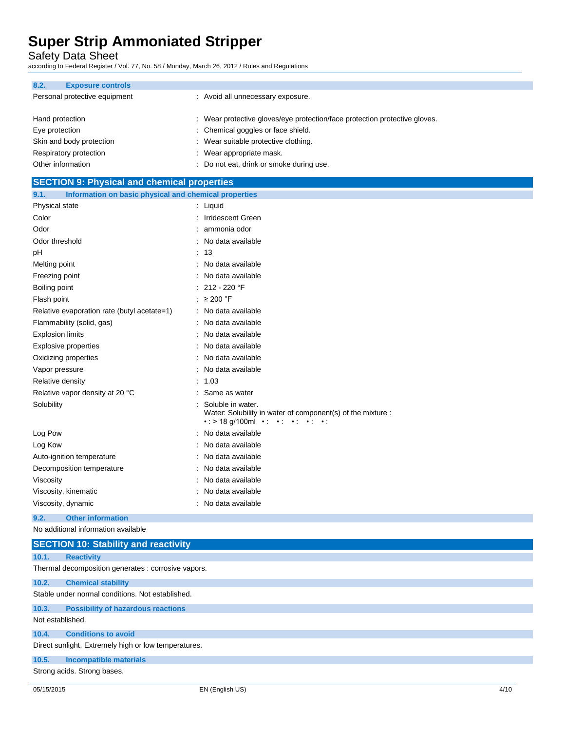Safety Data Sheet

according to Federal Register / Vol. 77, No. 58 / Monday, March 26, 2012 / Rules and Regulations

| 8.2. | <b>Exposure controls</b>      |                                                                            |
|------|-------------------------------|----------------------------------------------------------------------------|
|      | Personal protective equipment | : Avoid all unnecessary exposure.                                          |
|      | Hand protection               | : Wear protective gloves/eye protection/face protection protective gloves. |
|      | Eye protection                | : Chemical goggles or face shield.                                         |
|      | Skin and body protection      | : Wear suitable protective clothing.                                       |
|      | Respiratory protection        | : Wear appropriate mask.                                                   |
|      | Other information             | : Do not eat, drink or smoke during use.                                   |

| <b>SECTION 9: Physical and chemical properties</b>            |                                                                                                                                                              |  |
|---------------------------------------------------------------|--------------------------------------------------------------------------------------------------------------------------------------------------------------|--|
| Information on basic physical and chemical properties<br>9.1. |                                                                                                                                                              |  |
| Physical state                                                | : Liquid                                                                                                                                                     |  |
| Color                                                         | : Irridescent Green                                                                                                                                          |  |
| Odor                                                          | ammonia odor                                                                                                                                                 |  |
| Odor threshold                                                | No data available                                                                                                                                            |  |
| pH                                                            | : 13                                                                                                                                                         |  |
| Melting point                                                 | No data available                                                                                                                                            |  |
| Freezing point                                                | No data available                                                                                                                                            |  |
| Boiling point                                                 | : $212 - 220$ °F                                                                                                                                             |  |
| Flash point                                                   | : $\geq 200$ °F                                                                                                                                              |  |
| Relative evaporation rate (butyl acetate=1)                   | : No data available                                                                                                                                          |  |
| Flammability (solid, gas)                                     | : No data available                                                                                                                                          |  |
| <b>Explosion limits</b>                                       | : No data available                                                                                                                                          |  |
| <b>Explosive properties</b>                                   | No data available<br>÷                                                                                                                                       |  |
| Oxidizing properties                                          | No data available<br>÷                                                                                                                                       |  |
| Vapor pressure                                                | No data available                                                                                                                                            |  |
| Relative density                                              | : 1.03                                                                                                                                                       |  |
| Relative vapor density at 20 °C                               | Same as water<br>$\bullet$                                                                                                                                   |  |
| Solubility                                                    | Soluble in water.<br>Water: Solubility in water of component(s) of the mixture :<br>$\cdot$ : > 18 g/100ml $\cdot$ : $\cdot$ : $\cdot$ : $\cdot$ : $\cdot$ : |  |
| Log Pow                                                       | No data available                                                                                                                                            |  |
| Log Kow                                                       | : No data available                                                                                                                                          |  |
| Auto-ignition temperature                                     | No data available                                                                                                                                            |  |
| Decomposition temperature                                     | No data available                                                                                                                                            |  |
| Viscosity                                                     | : No data available                                                                                                                                          |  |
| Viscosity, kinematic                                          | No data available                                                                                                                                            |  |

Viscosity, dynamic **intervalse in the Contract of Contract Contract Contract Contract Contract Contract Contract Contract Contract Contract Contract Contract Contract Contract Contract Contract Contract Contract Contract C** 

**9.2. Other information** No additional information available

|                                                  | <b>SECTION 10: Stability and reactivity</b>          |  |  |  |
|--------------------------------------------------|------------------------------------------------------|--|--|--|
| 10.1.                                            | <b>Reactivity</b>                                    |  |  |  |
|                                                  | Thermal decomposition generates : corrosive vapors.  |  |  |  |
| 10.2.                                            | <b>Chemical stability</b>                            |  |  |  |
| Stable under normal conditions. Not established. |                                                      |  |  |  |
| 10.3.                                            | <b>Possibility of hazardous reactions</b>            |  |  |  |
|                                                  | Not established.                                     |  |  |  |
| 10.4.                                            | <b>Conditions to avoid</b>                           |  |  |  |
|                                                  | Direct sunlight. Extremely high or low temperatures. |  |  |  |
| 10.5.                                            | <b>Incompatible materials</b>                        |  |  |  |

Strong acids. Strong bases.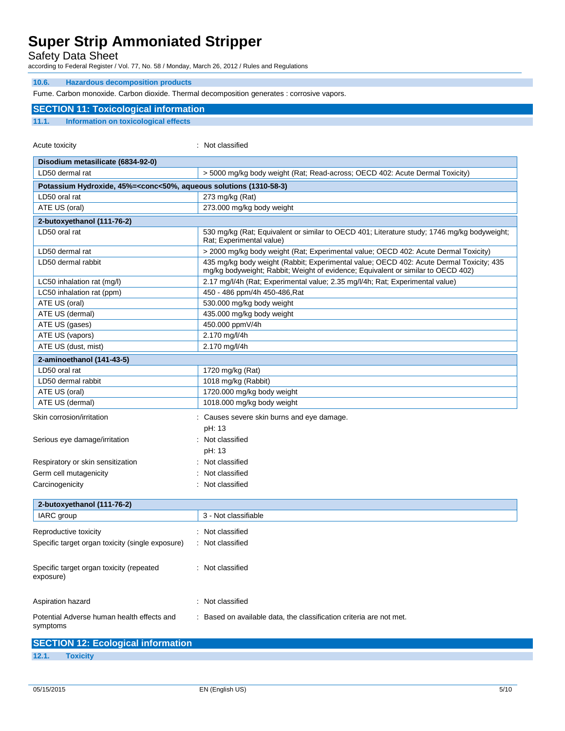Safety Data Sheet

according to Federal Register / Vol. 77, No. 58 / Monday, March 26, 2012 / Rules and Regulations

#### **10.6. Hazardous decomposition products**

Fume. Carbon monoxide. Carbon dioxide. Thermal decomposition generates : corrosive vapors.

### **SECTION 11: Toxicological information 11.1. Information on toxicological effects**

Acute toxicity in the contract of the classified in the classified in the classified in the classified in the classified in the classified in the classified in the contract of the contract of the contract of the contract o

| Disodium metasilicate (6834-92-0)                                                               |                                                                                                                                                                             |  |
|-------------------------------------------------------------------------------------------------|-----------------------------------------------------------------------------------------------------------------------------------------------------------------------------|--|
| LD50 dermal rat                                                                                 | > 5000 mg/kg body weight (Rat; Read-across; OECD 402: Acute Dermal Toxicity)                                                                                                |  |
| Potassium Hydroxide, 45%= <conc<50%, (1310-58-3)<="" aqueous="" solutions="" td=""></conc<50%,> |                                                                                                                                                                             |  |
| LD50 oral rat                                                                                   | 273 mg/kg (Rat)                                                                                                                                                             |  |
| ATE US (oral)                                                                                   | 273.000 mg/kg body weight                                                                                                                                                   |  |
| 2-butoxyethanol (111-76-2)                                                                      |                                                                                                                                                                             |  |
| LD50 oral rat                                                                                   | 530 mg/kg (Rat; Equivalent or similar to OECD 401; Literature study; 1746 mg/kg bodyweight;<br>Rat; Experimental value)                                                     |  |
| LD50 dermal rat                                                                                 | > 2000 mg/kg body weight (Rat; Experimental value; OECD 402: Acute Dermal Toxicity)                                                                                         |  |
| LD50 dermal rabbit                                                                              | 435 mg/kg body weight (Rabbit; Experimental value; OECD 402: Acute Dermal Toxicity; 435<br>mg/kg bodyweight; Rabbit; Weight of evidence; Equivalent or similar to OECD 402) |  |
| LC50 inhalation rat (mg/l)                                                                      | 2.17 mg/l/4h (Rat; Experimental value; 2.35 mg/l/4h; Rat; Experimental value)                                                                                               |  |
| LC50 inhalation rat (ppm)                                                                       | 450 - 486 ppm/4h 450-486, Rat                                                                                                                                               |  |
| ATE US (oral)                                                                                   | 530.000 mg/kg body weight                                                                                                                                                   |  |
| ATE US (dermal)                                                                                 | 435.000 mg/kg body weight                                                                                                                                                   |  |
| ATE US (gases)                                                                                  | 450.000 ppmV/4h                                                                                                                                                             |  |
| ATE US (vapors)                                                                                 | 2.170 mg/l/4h                                                                                                                                                               |  |
| ATE US (dust, mist)                                                                             | 2.170 mg/l/4h                                                                                                                                                               |  |
| 2-aminoethanol (141-43-5)                                                                       |                                                                                                                                                                             |  |
| LD50 oral rat                                                                                   | 1720 mg/kg (Rat)                                                                                                                                                            |  |
| LD50 dermal rabbit                                                                              | 1018 mg/kg (Rabbit)                                                                                                                                                         |  |
| ATE US (oral)                                                                                   | 1720.000 mg/kg body weight                                                                                                                                                  |  |
| ATE US (dermal)                                                                                 | 1018.000 mg/kg body weight                                                                                                                                                  |  |
| Skin corrosion/irritation                                                                       | : Causes severe skin burns and eye damage.<br>pH: 13                                                                                                                        |  |
| Serious eye damage/irritation                                                                   | : Not classified<br>pH: 13                                                                                                                                                  |  |
| Respiratory or skin sensitization                                                               | : Not classified                                                                                                                                                            |  |
| Germ cell mutagenicity                                                                          | Not classified                                                                                                                                                              |  |
| Carcinogenicity                                                                                 | : Not classified                                                                                                                                                            |  |
|                                                                                                 |                                                                                                                                                                             |  |
| 2-butoxyethanol (111-76-2)                                                                      |                                                                                                                                                                             |  |
| IARC group                                                                                      | 3 - Not classifiable                                                                                                                                                        |  |
| Reproductive toxicity                                                                           | : Not classified                                                                                                                                                            |  |
| Specific target organ toxicity (single exposure)                                                | : Not classified                                                                                                                                                            |  |
|                                                                                                 |                                                                                                                                                                             |  |
| Specific target organ toxicity (repeated<br>exposure)                                           | : Not classified                                                                                                                                                            |  |
| Aspiration hazard                                                                               | : Not classified                                                                                                                                                            |  |
| Potential Adverse human health effects and<br>symptoms                                          | Based on available data, the classification criteria are not met.                                                                                                           |  |
| <b>SECTION 12: Ecological information</b>                                                       |                                                                                                                                                                             |  |

**12.1. Toxicity**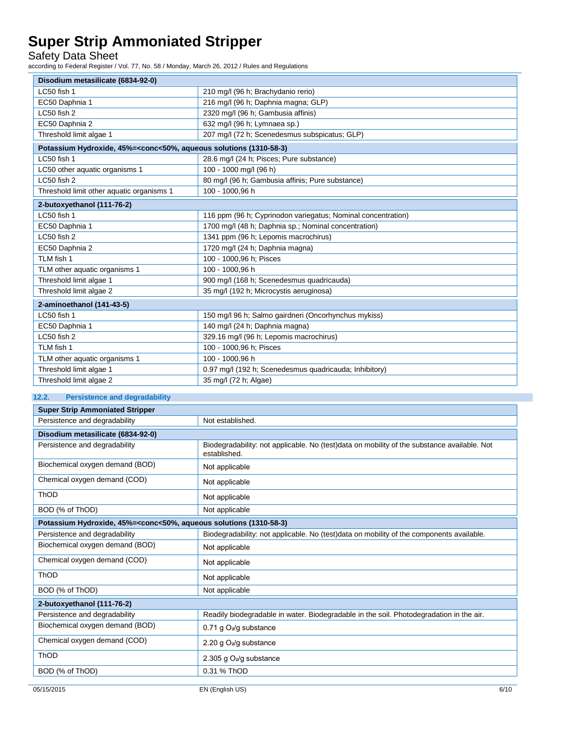Safety Data Sheet

according to Federal Register / Vol. 77, No. 58 / Monday, March 26, 2012 / Rules and Regulations

| Disodium metasilicate (6834-92-0)                                                                        |                                                              |  |
|----------------------------------------------------------------------------------------------------------|--------------------------------------------------------------|--|
| LC50 fish 1                                                                                              | 210 mg/l (96 h; Brachydanio rerio)                           |  |
| EC50 Daphnia 1                                                                                           | 216 mg/l (96 h; Daphnia magna; GLP)                          |  |
| LC50 fish 2                                                                                              | 2320 mg/l (96 h; Gambusia affinis)                           |  |
| EC50 Daphnia 2                                                                                           | 632 mg/l (96 h; Lymnaea sp.)                                 |  |
| Threshold limit algae 1                                                                                  | 207 mg/l (72 h; Scenedesmus subspicatus; GLP)                |  |
| Potassium Hydroxide, 45%= <conc<50%, (1310-58-3)<="" aqueous="" solutions="" th=""><th></th></conc<50%,> |                                                              |  |
| LC50 fish 1                                                                                              | 28.6 mg/l (24 h; Pisces; Pure substance)                     |  |
| LC50 other aquatic organisms 1                                                                           | 100 - 1000 mg/l (96 h)                                       |  |
| LC50 fish 2                                                                                              | 80 mg/l (96 h; Gambusia affinis; Pure substance)             |  |
| Threshold limit other aquatic organisms 1                                                                | 100 - 1000.96 h                                              |  |
| 2-butoxyethanol (111-76-2)                                                                               |                                                              |  |
| LC50 fish 1                                                                                              | 116 ppm (96 h; Cyprinodon variegatus; Nominal concentration) |  |
| EC50 Daphnia 1                                                                                           | 1700 mg/l (48 h; Daphnia sp.; Nominal concentration)         |  |
| LC50 fish 2                                                                                              | 1341 ppm (96 h; Lepomis macrochirus)                         |  |
| EC50 Daphnia 2                                                                                           | 1720 mg/l (24 h; Daphnia magna)                              |  |
| TLM fish 1                                                                                               | 100 - 1000,96 h; Pisces                                      |  |
| TLM other aquatic organisms 1                                                                            | 100 - 1000.96 h                                              |  |
| Threshold limit algae 1                                                                                  | 900 mg/l (168 h; Scenedesmus quadricauda)                    |  |
| Threshold limit algae 2                                                                                  | 35 mg/l (192 h; Microcystis aeruginosa)                      |  |
| 2-aminoethanol (141-43-5)                                                                                |                                                              |  |
| LC50 fish 1                                                                                              | 150 mg/l 96 h; Salmo gairdneri (Oncorhynchus mykiss)         |  |
| EC50 Daphnia 1                                                                                           | 140 mg/l (24 h; Daphnia magna)                               |  |
| LC50 fish 2                                                                                              | 329.16 mg/l (96 h; Lepomis macrochirus)                      |  |
| TLM fish 1                                                                                               | 100 - 1000,96 h; Pisces                                      |  |
| TLM other aquatic organisms 1                                                                            | 100 - 1000,96 h                                              |  |
| Threshold limit algae 1                                                                                  | 0.97 mg/l (192 h; Scenedesmus quadricauda; Inhibitory)       |  |
| Threshold limit algae 2                                                                                  | 35 mg/l (72 h; Algae)                                        |  |

### **12.2. Persistence and degradability Super Strip Ammoniated Stripper** Persistence and degradability **Not established.** Not established. **Disodium metasilicate (6834-92-0)**

| Disoulum metasmcate (0034-92-0)                                                                          |                                                                                                             |
|----------------------------------------------------------------------------------------------------------|-------------------------------------------------------------------------------------------------------------|
| Persistence and degradability                                                                            | Biodegradability: not applicable. No (test)data on mobility of the substance available. Not<br>established. |
| Biochemical oxygen demand (BOD)                                                                          | Not applicable                                                                                              |
| Chemical oxygen demand (COD)                                                                             | Not applicable                                                                                              |
| ThOD                                                                                                     | Not applicable                                                                                              |
| BOD (% of ThOD)                                                                                          | Not applicable                                                                                              |
| Potassium Hydroxide, 45%= <conc<50%, (1310-58-3)<="" aqueous="" solutions="" td=""><td></td></conc<50%,> |                                                                                                             |
| Persistence and degradability                                                                            | Biodegradability: not applicable. No (test)data on mobility of the components available.                    |
| Biochemical oxygen demand (BOD)                                                                          | Not applicable                                                                                              |
| Chemical oxygen demand (COD)                                                                             | Not applicable                                                                                              |
| ThOD                                                                                                     | Not applicable                                                                                              |
| BOD (% of ThOD)                                                                                          | Not applicable                                                                                              |
| 2-butoxyethanol (111-76-2)                                                                               |                                                                                                             |
| Persistence and degradability                                                                            | Readily biodegradable in water. Biodegradable in the soil. Photodegradation in the air.                     |
| Biochemical oxygen demand (BOD)                                                                          | 0.71 g $O_2$ /g substance                                                                                   |
| Chemical oxygen demand (COD)                                                                             | 2.20 g O <sub>2</sub> /g substance                                                                          |
| <b>ThOD</b>                                                                                              | 2.305 g $O2/g$ substance                                                                                    |
| BOD (% of ThOD)                                                                                          | 0.31 % ThOD                                                                                                 |
|                                                                                                          |                                                                                                             |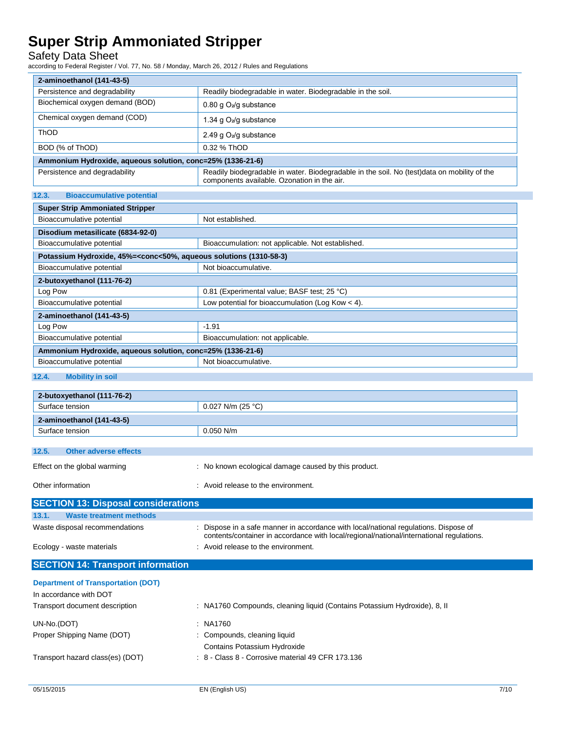### Safety Data Sheet

according to Federal Register / Vol. 77, No. 58 / Monday, March 26, 2012 / Rules and Regulations

| 2-aminoethanol (141-43-5)                                  |                                                                                                                                            |
|------------------------------------------------------------|--------------------------------------------------------------------------------------------------------------------------------------------|
| Persistence and degradability                              | Readily biodegradable in water. Biodegradable in the soil.                                                                                 |
| Biochemical oxygen demand (BOD)                            | 0.80 g $O_2$ /g substance                                                                                                                  |
| Chemical oxygen demand (COD)                               | 1.34 g $O_2$ /g substance                                                                                                                  |
| ThOD                                                       | 2.49 g $O_2$ /g substance                                                                                                                  |
| BOD (% of ThOD)                                            | 0.32 % ThOD                                                                                                                                |
| Ammonium Hydroxide, aqueous solution, conc=25% (1336-21-6) |                                                                                                                                            |
| Persistence and degradability                              | Readily biodegradable in water. Biodegradable in the soil. No (test)data on mobility of the<br>components available. Ozonation in the air. |

#### **12.3. Bioaccumulative potential**

| <b>Super Strip Ammoniated Stripper</b>                                                          |                                                    |  |
|-------------------------------------------------------------------------------------------------|----------------------------------------------------|--|
| Bioaccumulative potential                                                                       | Not established.                                   |  |
| Disodium metasilicate (6834-92-0)                                                               |                                                    |  |
| Bioaccumulative potential                                                                       | Bioaccumulation: not applicable. Not established.  |  |
| Potassium Hydroxide, 45%= <conc<50%, (1310-58-3)<="" aqueous="" solutions="" td=""></conc<50%,> |                                                    |  |
| Bioaccumulative potential                                                                       | Not bioaccumulative.                               |  |
| 2-butoxyethanol (111-76-2)                                                                      |                                                    |  |
| Log Pow                                                                                         | 0.81 (Experimental value; BASF test; 25 °C)        |  |
| Bioaccumulative potential                                                                       | Low potential for bioaccumulation (Log Kow $<$ 4). |  |
| 2-aminoethanol (141-43-5)                                                                       |                                                    |  |
| Log Pow                                                                                         | $-1.91$                                            |  |
| Bioaccumulative potential                                                                       | Bioaccumulation: not applicable.                   |  |
| Ammonium Hydroxide, aqueous solution, conc=25% (1336-21-6)                                      |                                                    |  |
| Not bioaccumulative.<br>Bioaccumulative potential                                               |                                                    |  |

### **12.4. Mobility in soil**

| 2-butoxyethanol (111-76-2)                                                           |                     |  |
|--------------------------------------------------------------------------------------|---------------------|--|
| Surface tension                                                                      | $0.027$ N/m (25 °C) |  |
| 2-aminoethanol (141-43-5)                                                            |                     |  |
| Surface tension                                                                      | $0.050$ N/m         |  |
|                                                                                      |                     |  |
| 12.5.<br><b>Other adverse effects</b>                                                |                     |  |
| : No known ecological damage caused by this product.<br>Effect on the global warming |                     |  |
| Other information<br>: Avoid release to the environment.                             |                     |  |

| <b>SECTION 13: Disposal considerations</b> |                                                                                                                                                                                  |
|--------------------------------------------|----------------------------------------------------------------------------------------------------------------------------------------------------------------------------------|
| 13.1.<br><b>Waste treatment methods</b>    |                                                                                                                                                                                  |
| Waste disposal recommendations             | : Dispose in a safe manner in accordance with local/national regulations. Dispose of<br>contents/container in accordance with local/regional/national/international regulations. |
| Ecology - waste materials                  | : Avoid release to the environment.                                                                                                                                              |
|                                            |                                                                                                                                                                                  |
| <b>SECTION 14: Transport information</b>   |                                                                                                                                                                                  |
| <b>Department of Transportation (DOT)</b>  |                                                                                                                                                                                  |
| In accordance with DOT                     |                                                                                                                                                                                  |

| UN-No.(DOT)                      | : NA1760                                                     |
|----------------------------------|--------------------------------------------------------------|
| Proper Shipping Name (DOT)       | : Compounds, cleaning liquid                                 |
|                                  | Contains Potassium Hydroxide                                 |
| Transport hazard class(es) (DOT) | $\therefore$ 8 - Class 8 - Corrosive material 49 CFR 173.136 |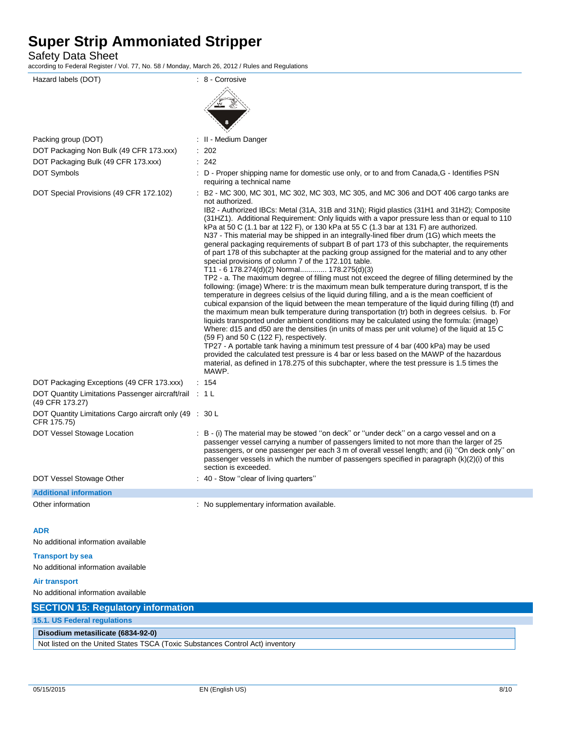Safety Data Sheet

according to Federal Register / Vol. 77, No. 58 / Monday, March 26, 2012 / Rules and Regulations

Hazard labels (DOT)  $\qquad \qquad$  : 8 - Corrosive Packing group (DOT) **in the case of the Contract Contract Contract Contract Contract Contract Contract Contract Contract Contract Contract Contract Contract Contract Contract Contract Contract Contract Contract Contract Co** DOT Packaging Non Bulk (49 CFR 173.xxx) : 202 DOT Packaging Bulk (49 CFR 173.xxx) : 242 DOT Symbols **EXECUTE:** D - Proper shipping name for domestic use only, or to and from Canada, G - Identifies PSN requiring a technical name DOT Special Provisions (49 CFR 172.102) : B2 - MC 300, MC 301, MC 302, MC 303, MC 305, and MC 306 and DOT 406 cargo tanks are not authorized. IB2 - Authorized IBCs: Metal (31A, 31B and 31N); Rigid plastics (31H1 and 31H2); Composite (31HZ1). Additional Requirement: Only liquids with a vapor pressure less than or equal to 110 kPa at 50 C (1.1 bar at 122 F), or 130 kPa at 55 C (1.3 bar at 131 F) are authorized. N37 - This material may be shipped in an integrally-lined fiber drum (1G) which meets the general packaging requirements of subpart B of part 173 of this subchapter, the requirements of part 178 of this subchapter at the packing group assigned for the material and to any other special provisions of column 7 of the 172.101 table. T11 - 6 178.274(d)(2) Normal............. 178.275(d)(3) TP2 - a. The maximum degree of filling must not exceed the degree of filling determined by the following: (image) Where: tr is the maximum mean bulk temperature during transport, tf is the temperature in degrees celsius of the liquid during filling, and a is the mean coefficient of cubical expansion of the liquid between the mean temperature of the liquid during filling (tf) and the maximum mean bulk temperature during transportation (tr) both in degrees celsius. b. For liquids transported under ambient conditions may be calculated using the formula: (image) Where: d15 and d50 are the densities (in units of mass per unit volume) of the liquid at 15 C (59 F) and 50 C (122 F), respectively. TP27 - A portable tank having a minimum test pressure of 4 bar (400 kPa) may be used provided the calculated test pressure is 4 bar or less based on the MAWP of the hazardous material, as defined in 178.275 of this subchapter, where the test pressure is 1.5 times the MAWP. DOT Packaging Exceptions (49 CFR 173.xxx) : 154 DOT Quantity Limitations Passenger aircraft/rail : 1 L (49 CFR 173.27) DOT Quantity Limitations Cargo aircraft only (49 : 30 L CFR 175.75) DOT Vessel Stowage Location : B - (i) The material may be stowed "on deck" or "under deck" on a cargo vessel and on a passenger vessel carrying a number of passengers limited to not more than the larger of 25 passengers, or one passenger per each 3 m of overall vessel length; and (ii) ''On deck only'' on passenger vessels in which the number of passengers specified in paragraph (k)(2)(i) of this section is exceeded. DOT Vessel Stowage Other : 40 - Stow "clear of living quarters" **Additional information** Other information **intervalse in the contract of the supplementary information available. ADR** No additional information available **Transport by sea** No additional information available **Air transport** No additional information available

| <b>SECTION 15: Regulatory information</b>                                     |
|-------------------------------------------------------------------------------|
| 15.1. US Federal regulations                                                  |
| Disodium metasilicate (6834-92-0)                                             |
| Not listed on the United States TSCA (Toxic Substances Control Act) inventory |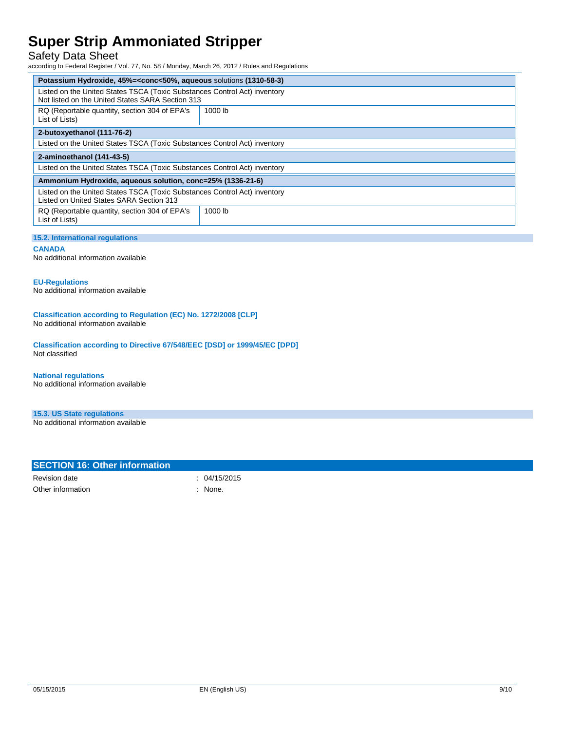### Safety Data Sheet

according to Federal Register / Vol. 77, No. 58 / Monday, March 26, 2012 / Rules and Regulations

| Potassium Hydroxide, 45%= <conc<50%, (1310-58-3)<="" aqueous="" solutions="" th=""></conc<50%,>                               |         |
|-------------------------------------------------------------------------------------------------------------------------------|---------|
| Listed on the United States TSCA (Toxic Substances Control Act) inventory<br>Not listed on the United States SARA Section 313 |         |
| RQ (Reportable quantity, section 304 of EPA's<br>List of Lists)                                                               | 1000 lb |
| 2-butoxyethanol (111-76-2)                                                                                                    |         |
| Listed on the United States TSCA (Toxic Substances Control Act) inventory                                                     |         |
| 2-aminoethanol (141-43-5)                                                                                                     |         |
| Listed on the United States TSCA (Toxic Substances Control Act) inventory                                                     |         |
| Ammonium Hydroxide, aqueous solution, conc=25% (1336-21-6)                                                                    |         |
| Listed on the United States TSCA (Toxic Substances Control Act) inventory<br>Listed on United States SARA Section 313         |         |
| RQ (Reportable quantity, section 304 of EPA's<br>List of Lists)                                                               | 1000 lb |

#### **15.2. International regulations**

#### **CANADA**

No additional information available

#### **EU-Regulations**

No additional information available

**Classification according to Regulation (EC) No. 1272/2008 [CLP]** No additional information available

**Classification according to Directive 67/548/EEC [DSD] or 1999/45/EC [DPD]** Not classified

#### **National regulations**

No additional information available

#### **15.3. US State regulations**

No additional information available

| <b>SECTION 16: Other information</b> |            |
|--------------------------------------|------------|
| Revision date                        | 04/15/2015 |
| Other information                    | None.      |